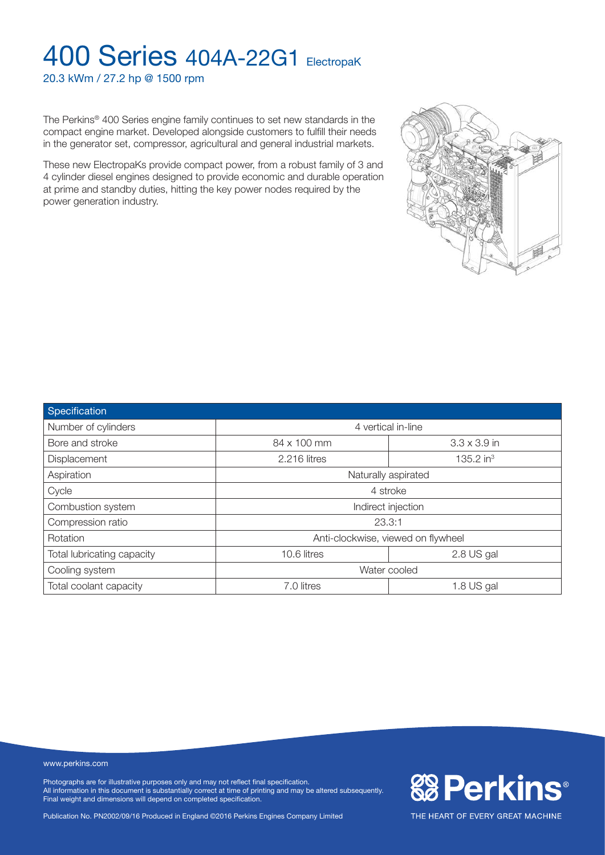20.3 kWm / 27.2 hp @ 1500 rpm

The Perkins® 400 Series engine family continues to set new standards in the compact engine market. Developed alongside customers to fulfill their needs in the generator set, compressor, agricultural and general industrial markets.

These new ElectropaKs provide compact power, from a robust family of 3 and 4 cylinder diesel engines designed to provide economic and durable operation at prime and standby duties, hitting the key power nodes required by the power generation industry.



#### www.perkins.com

Photographs are for illustrative purposes only and may not reflect final specification. All information in this document is substantially correct at time of printing and may be altered subsequently. Final weight and dimensions will depend on completed specification.

Publication No. PN2002/09/16 Produced in England ©2016 Perkins Engines Company Limited



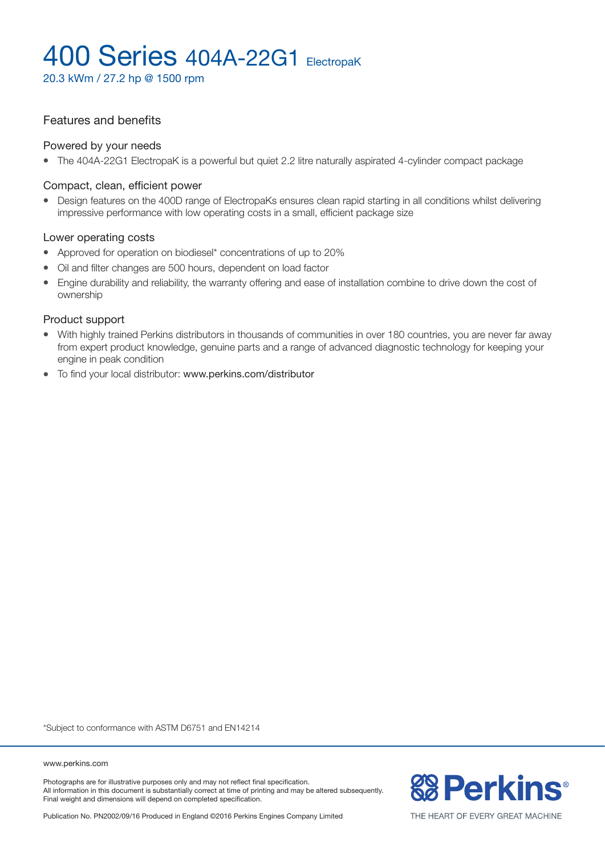20.3 kWm / 27.2 hp @ 1500 rpm

### Features and benefits

#### Powered by your needs

• The 404A-22G1 ElectropaK is a powerful but quiet 2.2 litre naturally aspirated 4-cylinder compact package

#### Compact, clean, efficient power

• Design features on the 400D range of ElectropaKs ensures clean rapid starting in all conditions whilst delivering impressive performance with low operating costs in a small, efficient package size

#### Lower operating costs

- Approved for operation on biodiesel\* concentrations of up to 20%
- Oil and filter changes are 500 hours, dependent on load factor
- Engine durability and reliability, the warranty offering and ease of installation combine to drive down the cost of ownership

#### Product support

- With highly trained Perkins distributors in thousands of communities in over 180 countries, you are never far away from expert product knowledge, genuine parts and a range of advanced diagnostic technology for keeping your engine in peak condition
- To find your local distributor: www.perkins.com/distributor

\*Subject to conformance with ASTM D6751 and EN14214

www.perkins.com

Photographs are for illustrative purposes only and may not reflect final specification. All information in this document is substantially correct at time of printing and may be altered subsequently. Final weight and dimensions will depend on completed specification.



Publication No. PN2002/09/16 Produced in England ©2016 Perkins Engines Company Limited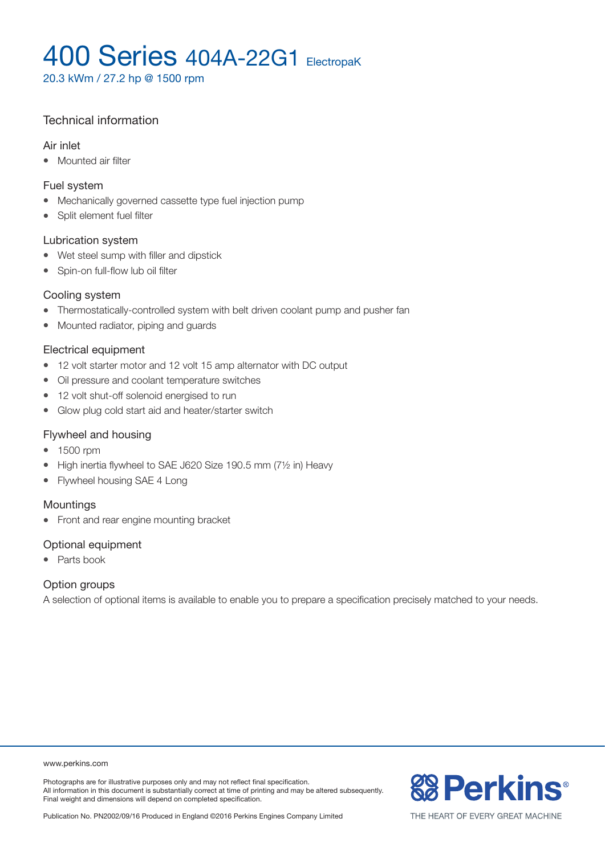20.3 kWm / 27.2 hp @ 1500 rpm

### Technical information

#### Air inlet

• Mounted air filter

#### Fuel system

- Mechanically governed cassette type fuel injection pump
- Split element fuel filter

#### Lubrication system

- Wet steel sump with filler and dipstick
- Spin-on full-flow lub oil filter

### Cooling system

- Thermostatically-controlled system with belt driven coolant pump and pusher fan
- Mounted radiator, piping and guards

### Electrical equipment

- 12 volt starter motor and 12 volt 15 amp alternator with DC output
- Oil pressure and coolant temperature switches
- 12 volt shut-off solenoid energised to run
- Glow plug cold start aid and heater/starter switch

### Flywheel and housing

- 1500 rpm
- High inertia flywheel to SAE J620 Size 190.5 mm  $(7\frac{1}{2}$  in) Heavy
- Flywheel housing SAE 4 Long

### Mountings

• Front and rear engine mounting bracket

### Optional equipment

• Parts book

### Option groups

A selection of optional items is available to enable you to prepare a specification precisely matched to your needs.

www.perkins.com

Photographs are for illustrative purposes only and may not reflect final specification. All information in this document is substantially correct at time of printing and may be altered subsequently. Final weight and dimensions will depend on completed specification.



Publication No. PN2002/09/16 Produced in England ©2016 Perkins Engines Company Limited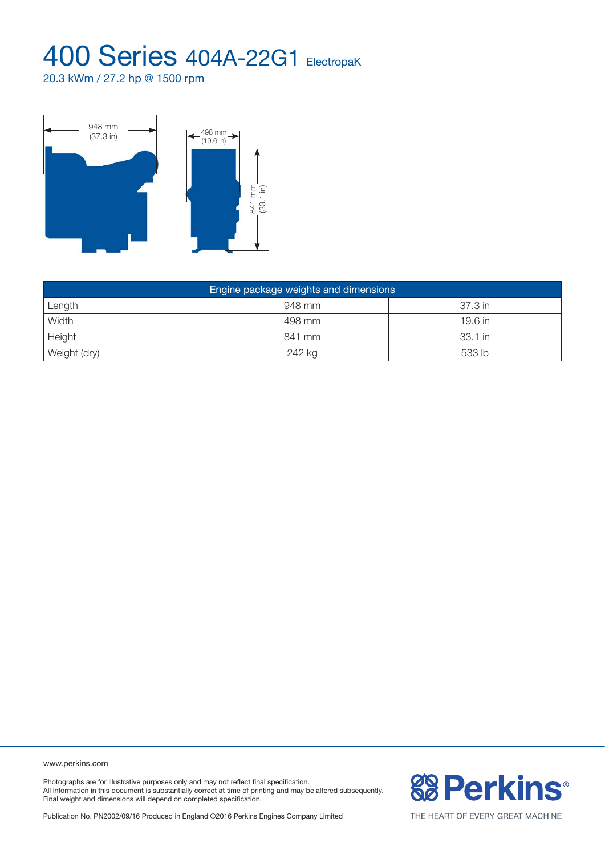20.3 kWm / 27.2 hp @ 1500 rpm



| Engine package weights and dimensions |        |           |  |  |  |
|---------------------------------------|--------|-----------|--|--|--|
| Length                                | 948 mm | 37.3 in   |  |  |  |
| Width                                 | 498 mm | $19.6$ in |  |  |  |
| Height                                | 841 mm | 33.1 in   |  |  |  |
| Weight (dry)                          | 242 kg | 533 lb    |  |  |  |

www.perkins.com

Photographs are for illustrative purposes only and may not reflect final specification. All information in this document is substantially correct at time of printing and may be altered subsequently. Final weight and dimensions will depend on completed specification.

Publication No. PN2002/09/16 Produced in England ©2016 Perkins Engines Company Limited